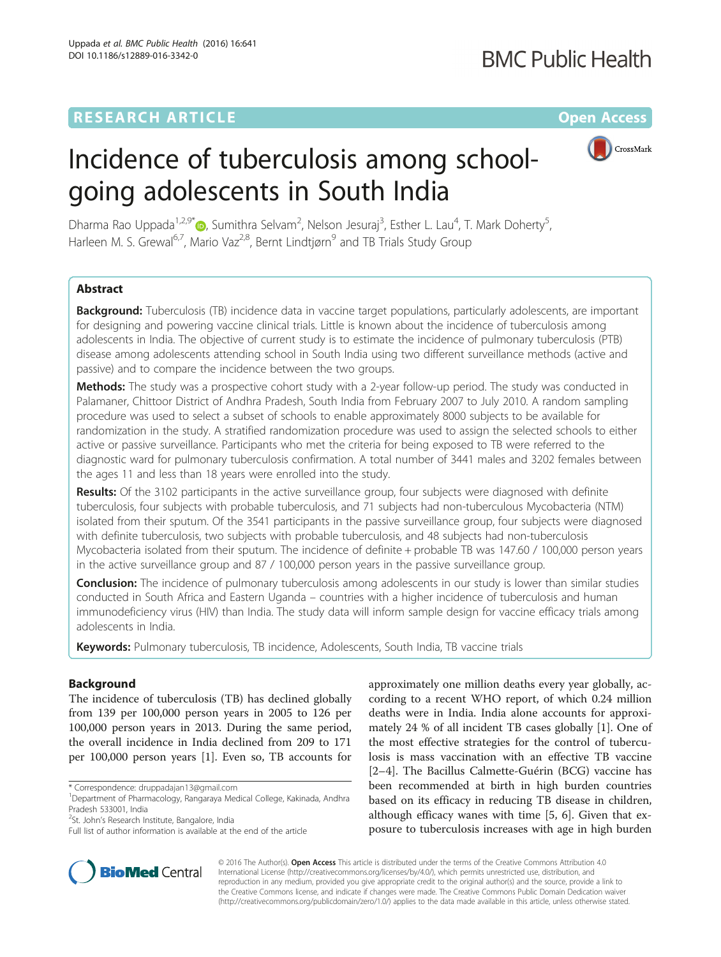# **RESEARCH ARTICLE External Structure Community Community Community Community Community Community Community Community**

# $\bigcap$  CrossMark



Dharma Rao Uppada<sup>1,2,9[\\*](http://orcid.org/0000-0002-4615-465X)</sup>®, Sumithra Selvam<sup>2</sup>, Nelson Jesuraj<sup>3</sup>, Esther L. Lau<sup>4</sup>, T. Mark Doherty<sup>5</sup> , Harleen M. S. Grewal<sup>6,7</sup>, Mario Vaz<sup>2,8</sup>, Bernt Lindtjørn<sup>9</sup> and TB Trials Study Group

# Abstract

Background: Tuberculosis (TB) incidence data in vaccine target populations, particularly adolescents, are important for designing and powering vaccine clinical trials. Little is known about the incidence of tuberculosis among adolescents in India. The objective of current study is to estimate the incidence of pulmonary tuberculosis (PTB) disease among adolescents attending school in South India using two different surveillance methods (active and passive) and to compare the incidence between the two groups.

Methods: The study was a prospective cohort study with a 2-year follow-up period. The study was conducted in Palamaner, Chittoor District of Andhra Pradesh, South India from February 2007 to July 2010. A random sampling procedure was used to select a subset of schools to enable approximately 8000 subjects to be available for randomization in the study. A stratified randomization procedure was used to assign the selected schools to either active or passive surveillance. Participants who met the criteria for being exposed to TB were referred to the diagnostic ward for pulmonary tuberculosis confirmation. A total number of 3441 males and 3202 females between the ages 11 and less than 18 years were enrolled into the study.

Results: Of the 3102 participants in the active surveillance group, four subjects were diagnosed with definite tuberculosis, four subjects with probable tuberculosis, and 71 subjects had non-tuberculous Mycobacteria (NTM) isolated from their sputum. Of the 3541 participants in the passive surveillance group, four subjects were diagnosed with definite tuberculosis, two subjects with probable tuberculosis, and 48 subjects had non-tuberculosis Mycobacteria isolated from their sputum. The incidence of definite + probable TB was 147.60 / 100,000 person years in the active surveillance group and 87 / 100,000 person years in the passive surveillance group.

**Conclusion:** The incidence of pulmonary tuberculosis among adolescents in our study is lower than similar studies conducted in South Africa and Eastern Uganda – countries with a higher incidence of tuberculosis and human immunodeficiency virus (HIV) than India. The study data will inform sample design for vaccine efficacy trials among adolescents in India.

Keywords: Pulmonary tuberculosis, TB incidence, Adolescents, South India, TB vaccine trials

# Background

The incidence of tuberculosis (TB) has declined globally from 139 per 100,000 person years in 2005 to 126 per 100,000 person years in 2013. During the same period, the overall incidence in India declined from 209 to 171 per 100,000 person years [\[1](#page-9-0)]. Even so, TB accounts for

approximately one million deaths every year globally, according to a recent WHO report, of which 0.24 million deaths were in India. India alone accounts for approximately 24 % of all incident TB cases globally [\[1](#page-9-0)]. One of the most effective strategies for the control of tuberculosis is mass vaccination with an effective TB vaccine [[2](#page-9-0)–[4\]](#page-9-0). The Bacillus Calmette-Guérin (BCG) vaccine has been recommended at birth in high burden countries based on its efficacy in reducing TB disease in children, although efficacy wanes with time [[5](#page-10-0), [6](#page-10-0)]. Given that exposure to tuberculosis increases with age in high burden



© 2016 The Author(s). Open Access This article is distributed under the terms of the Creative Commons Attribution 4.0 International License [\(http://creativecommons.org/licenses/by/4.0/](http://creativecommons.org/licenses/by/4.0/)), which permits unrestricted use, distribution, and reproduction in any medium, provided you give appropriate credit to the original author(s) and the source, provide a link to the Creative Commons license, and indicate if changes were made. The Creative Commons Public Domain Dedication waiver [\(http://creativecommons.org/publicdomain/zero/1.0/](http://creativecommons.org/publicdomain/zero/1.0/)) applies to the data made available in this article, unless otherwise stated.

<sup>\*</sup> Correspondence: [druppadajan13@gmail.com](mailto:druppadajan13@gmail.com) <sup>1</sup>

Department of Pharmacology, Rangaraya Medical College, Kakinada, Andhra Pradesh 533001, India

<sup>&</sup>lt;sup>2</sup>St. John's Research Institute, Bangalore, India

Full list of author information is available at the end of the article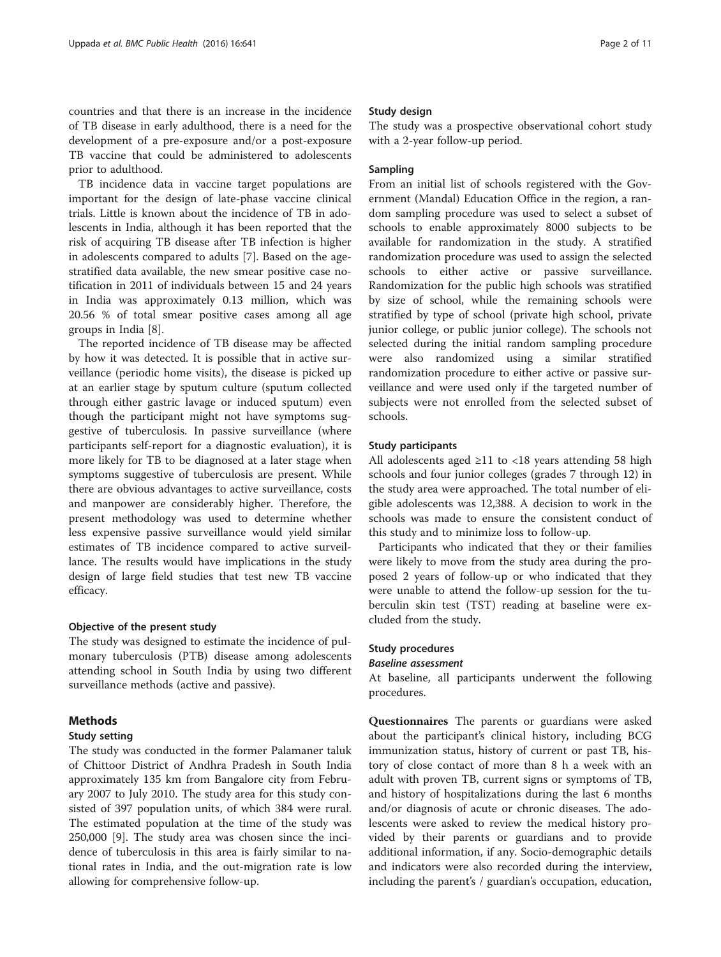countries and that there is an increase in the incidence of TB disease in early adulthood, there is a need for the development of a pre-exposure and/or a post-exposure TB vaccine that could be administered to adolescents prior to adulthood.

TB incidence data in vaccine target populations are important for the design of late-phase vaccine clinical trials. Little is known about the incidence of TB in adolescents in India, although it has been reported that the risk of acquiring TB disease after TB infection is higher in adolescents compared to adults [[7](#page-10-0)]. Based on the agestratified data available, the new smear positive case notification in 2011 of individuals between 15 and 24 years in India was approximately 0.13 million, which was 20.56 % of total smear positive cases among all age groups in India [\[8](#page-10-0)].

The reported incidence of TB disease may be affected by how it was detected. It is possible that in active surveillance (periodic home visits), the disease is picked up at an earlier stage by sputum culture (sputum collected through either gastric lavage or induced sputum) even though the participant might not have symptoms suggestive of tuberculosis. In passive surveillance (where participants self-report for a diagnostic evaluation), it is more likely for TB to be diagnosed at a later stage when symptoms suggestive of tuberculosis are present. While there are obvious advantages to active surveillance, costs and manpower are considerably higher. Therefore, the present methodology was used to determine whether less expensive passive surveillance would yield similar estimates of TB incidence compared to active surveillance. The results would have implications in the study design of large field studies that test new TB vaccine efficacy.

# Objective of the present study

The study was designed to estimate the incidence of pulmonary tuberculosis (PTB) disease among adolescents attending school in South India by using two different surveillance methods (active and passive).

# Methods

# Study setting

The study was conducted in the former Palamaner taluk of Chittoor District of Andhra Pradesh in South India approximately 135 km from Bangalore city from February 2007 to July 2010. The study area for this study consisted of 397 population units, of which 384 were rural. The estimated population at the time of the study was 250,000 [[9\]](#page-10-0). The study area was chosen since the incidence of tuberculosis in this area is fairly similar to national rates in India, and the out-migration rate is low allowing for comprehensive follow-up.

# Study design

The study was a prospective observational cohort study with a 2-year follow-up period.

# Sampling

From an initial list of schools registered with the Government (Mandal) Education Office in the region, a random sampling procedure was used to select a subset of schools to enable approximately 8000 subjects to be available for randomization in the study. A stratified randomization procedure was used to assign the selected schools to either active or passive surveillance. Randomization for the public high schools was stratified by size of school, while the remaining schools were stratified by type of school (private high school, private junior college, or public junior college). The schools not selected during the initial random sampling procedure were also randomized using a similar stratified randomization procedure to either active or passive surveillance and were used only if the targeted number of subjects were not enrolled from the selected subset of schools.

# Study participants

All adolescents aged ≥11 to <18 years attending 58 high schools and four junior colleges (grades 7 through 12) in the study area were approached. The total number of eligible adolescents was 12,388. A decision to work in the schools was made to ensure the consistent conduct of this study and to minimize loss to follow-up.

Participants who indicated that they or their families were likely to move from the study area during the proposed 2 years of follow-up or who indicated that they were unable to attend the follow-up session for the tuberculin skin test (TST) reading at baseline were excluded from the study.

# Study procedures

## Baseline assessment

At baseline, all participants underwent the following procedures.

Questionnaires The parents or guardians were asked about the participant's clinical history, including BCG immunization status, history of current or past TB, history of close contact of more than 8 h a week with an adult with proven TB, current signs or symptoms of TB, and history of hospitalizations during the last 6 months and/or diagnosis of acute or chronic diseases. The adolescents were asked to review the medical history provided by their parents or guardians and to provide additional information, if any. Socio-demographic details and indicators were also recorded during the interview, including the parent's / guardian's occupation, education,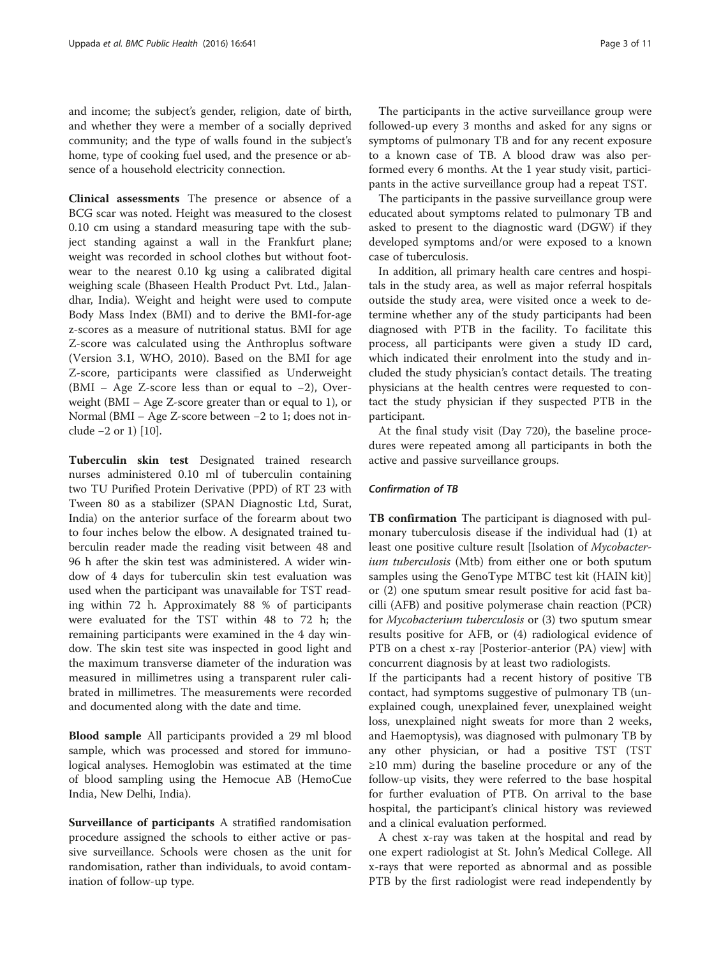and income; the subject's gender, religion, date of birth, and whether they were a member of a socially deprived community; and the type of walls found in the subject's home, type of cooking fuel used, and the presence or absence of a household electricity connection.

Clinical assessments The presence or absence of a BCG scar was noted. Height was measured to the closest 0.10 cm using a standard measuring tape with the subject standing against a wall in the Frankfurt plane; weight was recorded in school clothes but without footwear to the nearest 0.10 kg using a calibrated digital weighing scale (Bhaseen Health Product Pvt. Ltd., Jalandhar, India). Weight and height were used to compute Body Mass Index (BMI) and to derive the BMI-for-age z-scores as a measure of nutritional status. BMI for age Z-score was calculated using the Anthroplus software (Version 3.1, WHO, 2010). Based on the BMI for age Z-score, participants were classified as Underweight (BMI – Age Z-score less than or equal to −2), Overweight (BMI – Age Z-score greater than or equal to 1), or Normal (BMI – Age Z-score between −2 to 1; does not include −2 or 1) [[10](#page-10-0)].

Tuberculin skin test Designated trained research nurses administered 0.10 ml of tuberculin containing two TU Purified Protein Derivative (PPD) of RT 23 with Tween 80 as a stabilizer (SPAN Diagnostic Ltd, Surat, India) on the anterior surface of the forearm about two to four inches below the elbow. A designated trained tuberculin reader made the reading visit between 48 and 96 h after the skin test was administered. A wider window of 4 days for tuberculin skin test evaluation was used when the participant was unavailable for TST reading within 72 h. Approximately 88 % of participants were evaluated for the TST within 48 to 72 h; the remaining participants were examined in the 4 day window. The skin test site was inspected in good light and the maximum transverse diameter of the induration was measured in millimetres using a transparent ruler calibrated in millimetres. The measurements were recorded and documented along with the date and time.

Blood sample All participants provided a 29 ml blood sample, which was processed and stored for immunological analyses. Hemoglobin was estimated at the time of blood sampling using the Hemocue AB (HemoCue India, New Delhi, India).

Surveillance of participants A stratified randomisation procedure assigned the schools to either active or passive surveillance. Schools were chosen as the unit for randomisation, rather than individuals, to avoid contamination of follow-up type.

The participants in the active surveillance group were followed-up every 3 months and asked for any signs or symptoms of pulmonary TB and for any recent exposure to a known case of TB. A blood draw was also performed every 6 months. At the 1 year study visit, participants in the active surveillance group had a repeat TST.

The participants in the passive surveillance group were educated about symptoms related to pulmonary TB and asked to present to the diagnostic ward (DGW) if they developed symptoms and/or were exposed to a known case of tuberculosis.

In addition, all primary health care centres and hospitals in the study area, as well as major referral hospitals outside the study area, were visited once a week to determine whether any of the study participants had been diagnosed with PTB in the facility. To facilitate this process, all participants were given a study ID card, which indicated their enrolment into the study and included the study physician's contact details. The treating physicians at the health centres were requested to contact the study physician if they suspected PTB in the participant.

At the final study visit (Day 720), the baseline procedures were repeated among all participants in both the active and passive surveillance groups.

# Confirmation of TB

TB confirmation The participant is diagnosed with pulmonary tuberculosis disease if the individual had (1) at least one positive culture result [Isolation of Mycobacterium tuberculosis (Mtb) from either one or both sputum samples using the GenoType MTBC test kit (HAIN kit)] or (2) one sputum smear result positive for acid fast bacilli (AFB) and positive polymerase chain reaction (PCR) for Mycobacterium tuberculosis or (3) two sputum smear results positive for AFB, or (4) radiological evidence of PTB on a chest x-ray [Posterior-anterior (PA) view] with concurrent diagnosis by at least two radiologists.

If the participants had a recent history of positive TB contact, had symptoms suggestive of pulmonary TB (unexplained cough, unexplained fever, unexplained weight loss, unexplained night sweats for more than 2 weeks, and Haemoptysis), was diagnosed with pulmonary TB by any other physician, or had a positive TST (TST ≥10 mm) during the baseline procedure or any of the follow-up visits, they were referred to the base hospital for further evaluation of PTB. On arrival to the base hospital, the participant's clinical history was reviewed and a clinical evaluation performed.

A chest x-ray was taken at the hospital and read by one expert radiologist at St. John's Medical College. All x-rays that were reported as abnormal and as possible PTB by the first radiologist were read independently by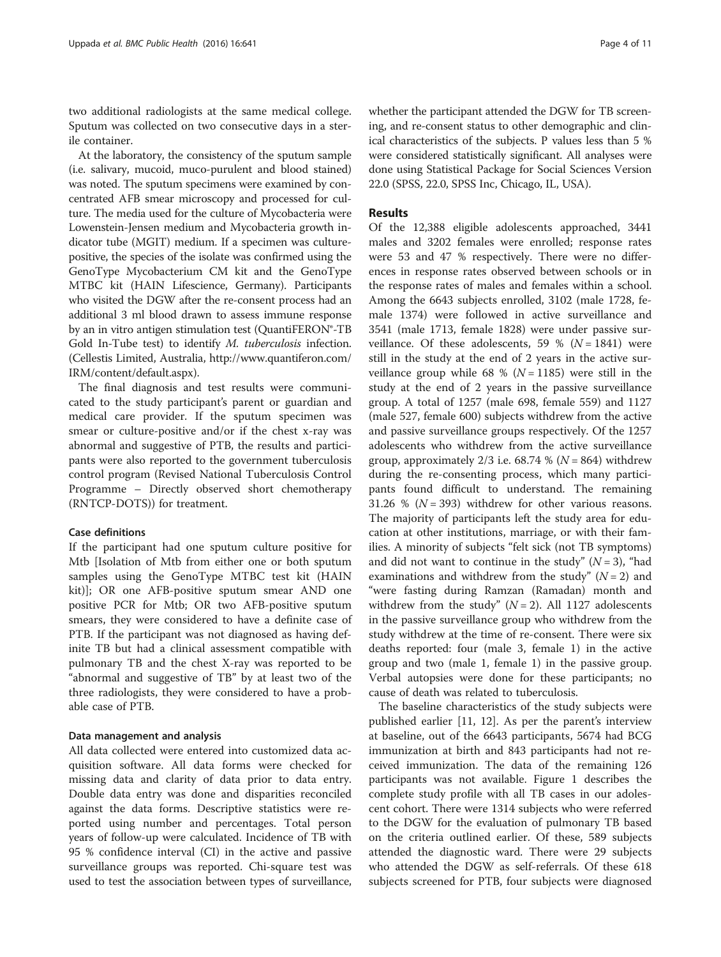two additional radiologists at the same medical college. Sputum was collected on two consecutive days in a sterile container.

At the laboratory, the consistency of the sputum sample (i.e. salivary, mucoid, muco-purulent and blood stained) was noted. The sputum specimens were examined by concentrated AFB smear microscopy and processed for culture. The media used for the culture of Mycobacteria were Lowenstein-Jensen medium and Mycobacteria growth indicator tube (MGIT) medium. If a specimen was culturepositive, the species of the isolate was confirmed using the GenoType Mycobacterium CM kit and the GenoType MTBC kit (HAIN Lifescience, Germany). Participants who visited the DGW after the re-consent process had an additional 3 ml blood drawn to assess immune response by an in vitro antigen stimulation test (QuantiFERON®-TB Gold In-Tube test) to identify M. tuberculosis infection. (Cellestis Limited, Australia, [http://www.quantiferon.com/](http://www.quantiferon.com/IRM/content/default.aspx) [IRM/content/default.aspx\)](http://www.quantiferon.com/IRM/content/default.aspx).

The final diagnosis and test results were communicated to the study participant's parent or guardian and medical care provider. If the sputum specimen was smear or culture-positive and/or if the chest x-ray was abnormal and suggestive of PTB, the results and participants were also reported to the government tuberculosis control program (Revised National Tuberculosis Control Programme – Directly observed short chemotherapy (RNTCP-DOTS)) for treatment.

#### Case definitions

If the participant had one sputum culture positive for Mtb [Isolation of Mtb from either one or both sputum samples using the GenoType MTBC test kit (HAIN kit)]; OR one AFB-positive sputum smear AND one positive PCR for Mtb; OR two AFB-positive sputum smears, they were considered to have a definite case of PTB. If the participant was not diagnosed as having definite TB but had a clinical assessment compatible with pulmonary TB and the chest X-ray was reported to be "abnormal and suggestive of TB" by at least two of the three radiologists, they were considered to have a probable case of PTB.

#### Data management and analysis

All data collected were entered into customized data acquisition software. All data forms were checked for missing data and clarity of data prior to data entry. Double data entry was done and disparities reconciled against the data forms. Descriptive statistics were reported using number and percentages. Total person years of follow-up were calculated. Incidence of TB with 95 % confidence interval (CI) in the active and passive surveillance groups was reported. Chi-square test was used to test the association between types of surveillance,

whether the participant attended the DGW for TB screening, and re-consent status to other demographic and clinical characteristics of the subjects. P values less than 5 % were considered statistically significant. All analyses were done using Statistical Package for Social Sciences Version 22.0 (SPSS, 22.0, SPSS Inc, Chicago, IL, USA).

# Results

Of the 12,388 eligible adolescents approached, 3441 males and 3202 females were enrolled; response rates were 53 and 47 % respectively. There were no differences in response rates observed between schools or in the response rates of males and females within a school. Among the 6643 subjects enrolled, 3102 (male 1728, female 1374) were followed in active surveillance and 3541 (male 1713, female 1828) were under passive surveillance. Of these adolescents, 59 %  $(N = 1841)$  were still in the study at the end of 2 years in the active surveillance group while 68 % ( $N = 1185$ ) were still in the study at the end of 2 years in the passive surveillance group. A total of 1257 (male 698, female 559) and 1127 (male 527, female 600) subjects withdrew from the active and passive surveillance groups respectively. Of the 1257 adolescents who withdrew from the active surveillance group, approximately  $2/3$  i.e. 68.74 % ( $N = 864$ ) withdrew during the re-consenting process, which many participants found difficult to understand. The remaining 31.26 %  $(N = 393)$  withdrew for other various reasons. The majority of participants left the study area for education at other institutions, marriage, or with their families. A minority of subjects "felt sick (not TB symptoms) and did not want to continue in the study"  $(N = 3)$ , "had examinations and withdrew from the study"  $(N = 2)$  and "were fasting during Ramzan (Ramadan) month and withdrew from the study"  $(N = 2)$ . All 1127 adolescents in the passive surveillance group who withdrew from the study withdrew at the time of re-consent. There were six deaths reported: four (male 3, female 1) in the active group and two (male 1, female 1) in the passive group. Verbal autopsies were done for these participants; no cause of death was related to tuberculosis.

The baseline characteristics of the study subjects were published earlier [\[11, 12\]](#page-10-0). As per the parent's interview at baseline, out of the 6643 participants, 5674 had BCG immunization at birth and 843 participants had not received immunization. The data of the remaining 126 participants was not available. Figure [1](#page-4-0) describes the complete study profile with all TB cases in our adolescent cohort. There were 1314 subjects who were referred to the DGW for the evaluation of pulmonary TB based on the criteria outlined earlier. Of these, 589 subjects attended the diagnostic ward. There were 29 subjects who attended the DGW as self-referrals. Of these 618 subjects screened for PTB, four subjects were diagnosed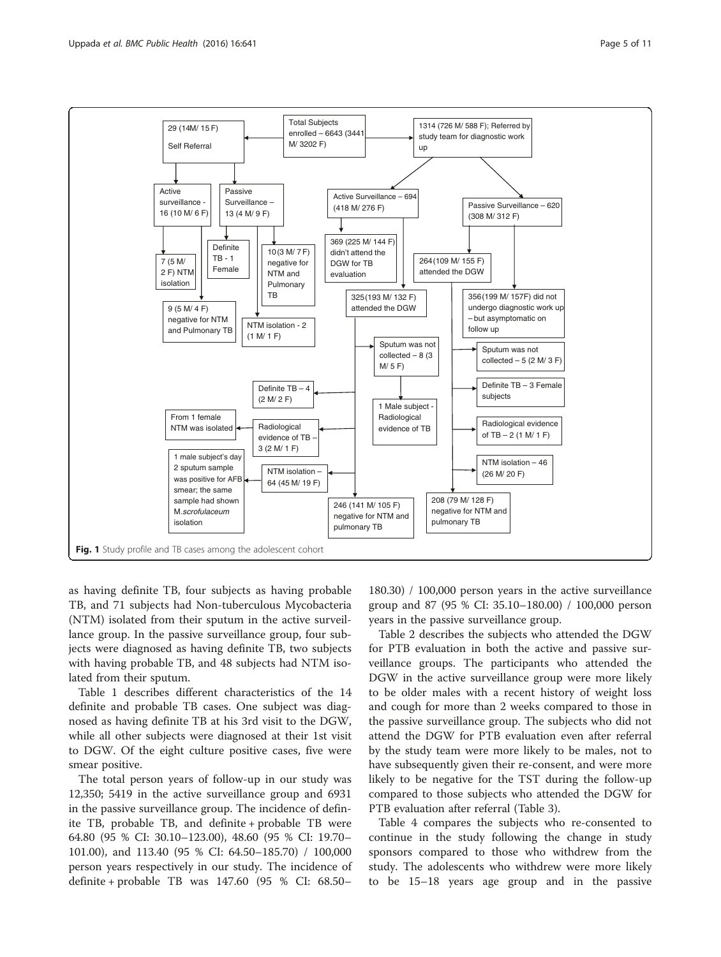<span id="page-4-0"></span>

as having definite TB, four subjects as having probable TB, and 71 subjects had Non-tuberculous Mycobacteria (NTM) isolated from their sputum in the active surveillance group. In the passive surveillance group, four subjects were diagnosed as having definite TB, two subjects with having probable TB, and 48 subjects had NTM isolated from their sputum.

Table [1](#page-5-0) describes different characteristics of the 14 definite and probable TB cases. One subject was diagnosed as having definite TB at his 3rd visit to the DGW, while all other subjects were diagnosed at their 1st visit to DGW. Of the eight culture positive cases, five were smear positive.

The total person years of follow-up in our study was 12,350; 5419 in the active surveillance group and 6931 in the passive surveillance group. The incidence of definite TB, probable TB, and definite + probable TB were 64.80 (95 % CI: 30.10–123.00), 48.60 (95 % CI: 19.70– 101.00), and 113.40 (95 % CI: 64.50–185.70) / 100,000 person years respectively in our study. The incidence of definite + probable TB was 147.60 (95 % CI: 68.50–

180.30) / 100,000 person years in the active surveillance group and 87 (95 % CI: 35.10–180.00) / 100,000 person years in the passive surveillance group.

Table [2](#page-6-0) describes the subjects who attended the DGW for PTB evaluation in both the active and passive surveillance groups. The participants who attended the DGW in the active surveillance group were more likely to be older males with a recent history of weight loss and cough for more than 2 weeks compared to those in the passive surveillance group. The subjects who did not attend the DGW for PTB evaluation even after referral by the study team were more likely to be males, not to have subsequently given their re-consent, and were more likely to be negative for the TST during the follow-up compared to those subjects who attended the DGW for PTB evaluation after referral (Table [3\)](#page-7-0).

Table [4](#page-8-0) compares the subjects who re-consented to continue in the study following the change in study sponsors compared to those who withdrew from the study. The adolescents who withdrew were more likely to be 15–18 years age group and in the passive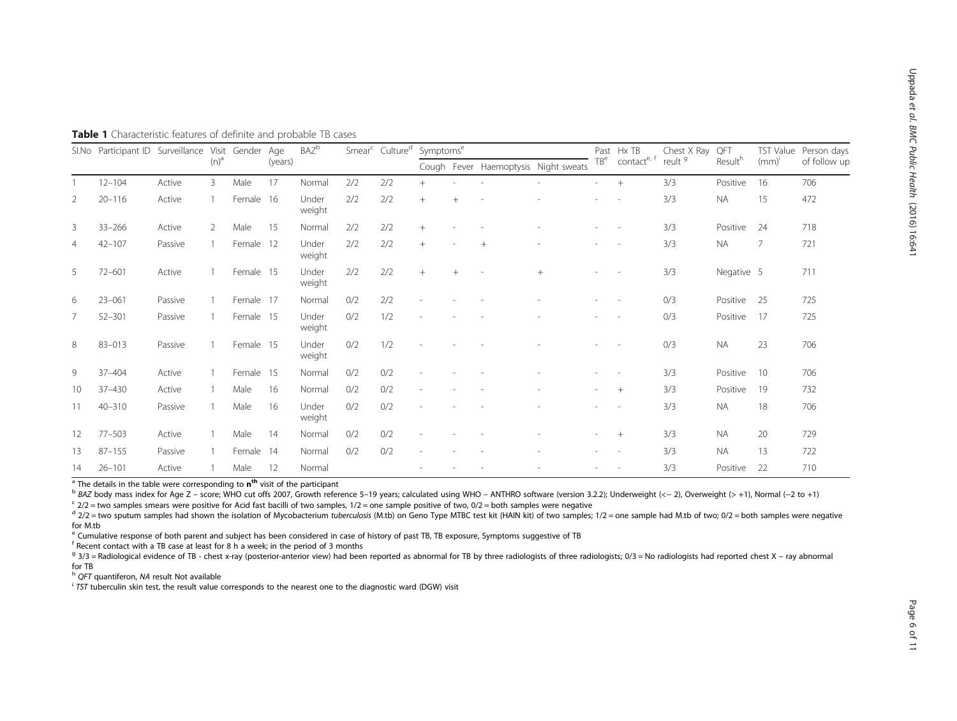|                | SI.No Participant ID Surveillance Visit Gender Age |         | $(n)^a$ |           | (years) | <b>BAZ</b> <sup>b</sup> | Smear <sup>c</sup> Culture <sup>d</sup> Symptoms <sup>e</sup> |     |        |        |                |                                      | Past Hx TB | Chest X Ray QFT                         |                    |                     | TST Value Person days |              |
|----------------|----------------------------------------------------|---------|---------|-----------|---------|-------------------------|---------------------------------------------------------------|-----|--------|--------|----------------|--------------------------------------|------------|-----------------------------------------|--------------------|---------------------|-----------------------|--------------|
|                |                                                    |         |         |           |         |                         |                                                               |     |        |        |                | Cough Fever Haemoptysis Night sweats |            | TB <sup>e</sup> contact <sup>e, f</sup> | reult <sup>9</sup> | Result <sup>h</sup> | $(mm)^{i}$            | of follow up |
|                | $12 - 104$                                         | Active  | 3       | Male      | 17      | Normal                  | 2/2                                                           | 2/2 | $^{+}$ |        |                |                                      |            | $+$                                     | 3/3                | Positive            | 16                    | 706          |
| 2              | $20 - 116$                                         | Active  |         | Female 16 |         | Under<br>weight         | 2/2                                                           | 2/2 | $+$    | $^{+}$ |                |                                      |            |                                         | 3/3                | <b>NA</b>           | 15                    | 472          |
| 3              | $33 - 266$                                         | Active  | 2       | Male      | 15      | Normal                  | 2/2                                                           | 2/2 | $^{+}$ |        |                |                                      |            |                                         | 3/3                | Positive            | 24                    | 718          |
| $\overline{4}$ | $42 - 107$                                         | Passive |         | Female 12 |         | Under<br>weight         | 2/2                                                           | 2/2 | $+$    |        | $\overline{+}$ |                                      |            |                                         | 3/3                | <b>NA</b>           | $\overline{7}$        | 721          |
| 5              | 72-601                                             | Active  |         | Female 15 |         | Under<br>weight         | 2/2                                                           | 2/2 | $+$    | $^{+}$ |                | $+$                                  |            |                                         | 3/3                | Negative 5          |                       | 711          |
| 6              | $23 - 061$                                         | Passive |         | Female 17 |         | Normal                  | 0/2                                                           | 2/2 |        |        |                |                                      |            | $\sim$                                  | 0/3                | Positive            | - 25                  | 725          |
| $\overline{7}$ | $52 - 301$                                         | Passive |         | Female 15 |         | Under<br>weight         | 0/2                                                           | 1/2 |        |        |                |                                      |            |                                         | 0/3                | Positive            | -17                   | 725          |
| 8              | $83 - 013$                                         | Passive |         | Female 15 |         | Under<br>weight         | 0/2                                                           | 1/2 |        |        |                |                                      |            |                                         | 0/3                | <b>NA</b>           | 23                    | 706          |
| 9              | $37 - 404$                                         | Active  |         | Female 15 |         | Normal                  | 0/2                                                           | 0/2 |        |        |                |                                      |            |                                         | 3/3                | Positive            | 10                    | 706          |
| 10             | $37 - 430$                                         | Active  |         | Male      | 16      | Normal                  | 0/2                                                           | 0/2 |        |        |                |                                      | $\sim$     | $+$                                     | 3/3                | Positive            | 19                    | 732          |
| 11             | $40 - 310$                                         | Passive |         | Male      | 16      | Under<br>weight         | 0/2                                                           | 0/2 |        |        |                |                                      |            |                                         | 3/3                | <b>NA</b>           | 18                    | 706          |
| 12             | $77 - 503$                                         | Active  |         | Male      | 14      | Normal                  | 0/2                                                           | 0/2 |        |        |                |                                      |            | $^{+}$                                  | 3/3                | <b>NA</b>           | 20                    | 729          |
| 13             | $87 - 155$                                         | Passive |         | Female 14 |         | Normal                  | 0/2                                                           | 0/2 |        |        |                |                                      |            | $\overline{\phantom{a}}$                | 3/3                | <b>NA</b>           | 13                    | 722          |
| 14             | $26 - 101$                                         | Active  |         | Male      | 12      | Normal                  |                                                               |     |        |        |                |                                      |            |                                         | 3/3                | Positive            | 22                    | 710          |

<span id="page-5-0"></span>**Table 1** Characteristic features of definite and probable TB cases

<sup>a</sup> The details in the table were corresponding to **n<sup>th</sup>** visit of the participant<br><sup>b</sup> BAZ body mass index for Age Z – score; WHO cut offs 2007, Growth reference 5–19 years; calculated using WHO – ANTHRO software (versio

 $d$  2/2 = two sputum samples had shown the isolation of Mycobacterium tuberculosis (M.tb) on Geno Type MTBC test kit (HAIN kit) of two samples; 1/2 = one sample had M.tb of two; 0/2 = both samples were negative for M.tb

<sup>e</sup> Cumulative response of both parent and subject has been considered in case of history of past TB, TB exposure, Symptoms suggestive of TB

 $f$  Recent contact with a TB case at least for 8 h a week; in the period of 3 months

 $9$  3/3 = Radiological evidence of TB - chest x-ray (posterior-anterior view) had been reported as abnormal for TB by three radiologists; of three radiologists; 0/3 = No radiologists had reported chest X – ray abnormal for TB

h OFT quantiferon, NA result Not available

<sup>1</sup> TST tuberculin skin test, the result value corresponds to the nearest one to the diagnostic ward (DGW) visit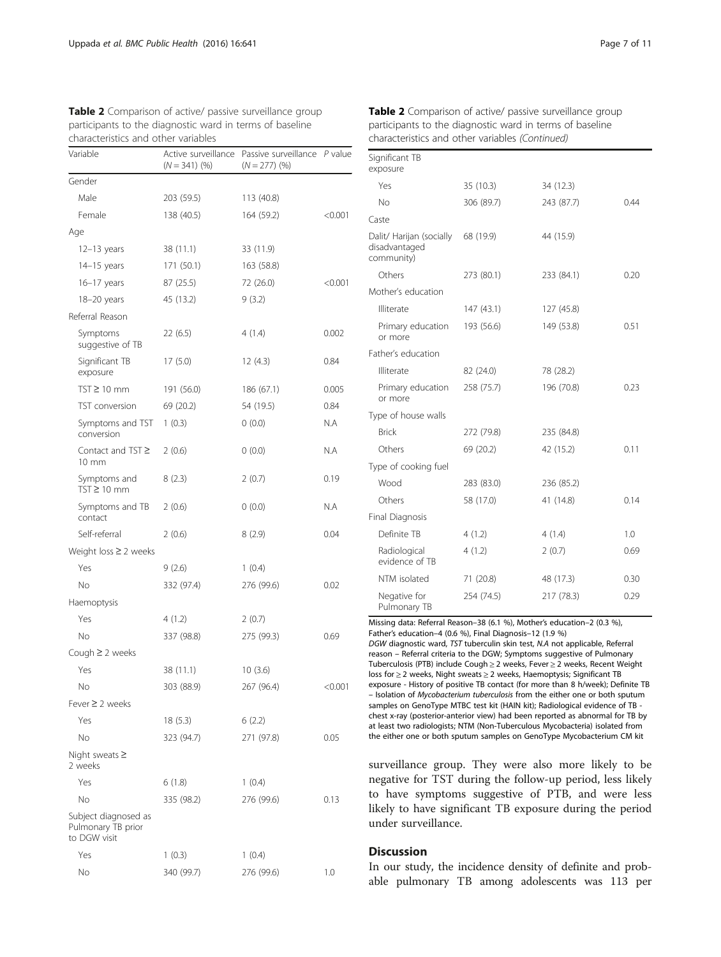| Variable                                                   | Active surveillance<br>$(N = 341)$ (%) | Passive surveillance P value<br>$(N = 277)$ (%) |         |
|------------------------------------------------------------|----------------------------------------|-------------------------------------------------|---------|
| Gender                                                     |                                        |                                                 |         |
| Male                                                       | 203 (59.5)                             | 113 (40.8)                                      |         |
| Female                                                     | 138 (40.5)                             | 164 (59.2)                                      | < 0.001 |
| Age                                                        |                                        |                                                 |         |
| 12-13 years                                                | 38 (11.1)                              | 33 (11.9)                                       |         |
| $14-15$ years                                              | 171 (50.1)                             | 163 (58.8)                                      |         |
| $16-17$ years                                              | 87 (25.5)                              | 72 (26.0)                                       | < 0.001 |
| 18-20 years                                                | 45 (13.2)                              | 9(3.2)                                          |         |
| Referral Reason                                            |                                        |                                                 |         |
| Symptoms<br>suggestive of TB                               | 22(6.5)                                | 4(1.4)                                          | 0.002   |
| Significant TB<br>exposure                                 | 17(5.0)                                | 12(4.3)                                         | 0.84    |
| $TST \geq 10$ mm                                           | 191 (56.0)                             | 186 (67.1)                                      | 0.005   |
| TST conversion                                             | 69 (20.2)                              | 54 (19.5)                                       | 0.84    |
| Symptoms and TST<br>conversion                             | 1(0.3)                                 | 0(0.0)                                          | N.A     |
| Contact and $TST \geq$<br>$10 \, \text{mm}$                | 2(0.6)                                 | 0(0.0)                                          | N.A     |
| Symptoms and<br>$TST \geq 10$ mm                           | 8(2.3)                                 | 2(0.7)                                          | 0.19    |
| Symptoms and TB<br>contact                                 | 2(0.6)                                 | 0(0.0)                                          | N.A     |
| Self-referral                                              | 2(0.6)                                 | 8(2.9)                                          | 0.04    |
| Weight loss $\geq$ 2 weeks                                 |                                        |                                                 |         |
| Yes                                                        | 9(2.6)                                 | 1(0.4)                                          |         |
| No                                                         | 332 (97.4)                             | 276 (99.6)                                      | 0.02    |
| Haemoptysis                                                |                                        |                                                 |         |
| Yes                                                        | 4(1.2)                                 | 2(0.7)                                          |         |
| No                                                         | 337 (98.8)                             | 275 (99.3)                                      | 0.69    |
| Cough $\geq$ 2 weeks                                       |                                        |                                                 |         |
| Yes                                                        | 38 (11.1)                              | 10(3.6)                                         |         |
| No                                                         | 303 (88.9)                             | 267 (96.4)                                      | < 0.001 |
| Fever $\geq$ 2 weeks                                       |                                        |                                                 |         |
| Yes                                                        | 18(5.3)                                | 6(2.2)                                          |         |
| No                                                         | 323 (94.7)                             | 271 (97.8)                                      | 0.05    |
| Night sweats $\geq$<br>2 weeks                             |                                        |                                                 |         |
| Yes                                                        | 6(1.8)                                 | 1(0.4)                                          |         |
| No                                                         | 335 (98.2)                             | 276 (99.6)                                      | 0.13    |
| Subject diagnosed as<br>Pulmonary TB prior<br>to DGW visit |                                        |                                                 |         |
| Yes                                                        | 1(0.3)                                 | 1(0.4)                                          |         |
| No                                                         | 340 (99.7)                             | 276 (99.6)                                      | 1.0     |

<span id="page-6-0"></span>Table 2 Comparison of active/ passive surveillance group participants to the diagnostic ward in terms of baseline characteristics and other variables

| Significant TB<br>exposure                              |            |            |      |
|---------------------------------------------------------|------------|------------|------|
| Yes                                                     | 35(10.3)   | 34 (12.3)  |      |
| Nο                                                      | 306 (89.7) | 243 (87.7) | 0.44 |
| Caste                                                   |            |            |      |
| Dalit/ Harijan (socially<br>disadvantaged<br>community) | 68 (19.9)  | 44 (15.9)  |      |
| Others                                                  | 273 (80.1) | 233 (84.1) | 0.20 |
| Mother's education                                      |            |            |      |
| Illiterate                                              | 147(43.1)  | 127 (45.8) |      |
| Primary education<br>or more                            | 193 (56.6) | 149 (53.8) | 0.51 |
| Father's education                                      |            |            |      |
| Illiterate                                              | 82 (24.0)  | 78 (28.2)  |      |
| Primary education<br>or more                            | 258 (75.7) | 196 (70.8) | 0.23 |
| Type of house walls                                     |            |            |      |
| <b>Brick</b>                                            | 272 (79.8) | 235 (84.8) |      |
| Others                                                  | 69 (20.2)  | 42 (15.2)  | 0.11 |
| Type of cooking fuel                                    |            |            |      |
| Wood                                                    | 283 (83.0) | 236 (85.2) |      |
| Others                                                  | 58 (17.0)  | 41 (14.8)  | 0.14 |
| Final Diagnosis                                         |            |            |      |
| Definite TB                                             | 4(1.2)     | 4(1.4)     | 1.0  |
| Radiological<br>evidence of TB                          | 4(1.2)     | 2(0.7)     | 0.69 |
| NTM isolated                                            | 71 (20.8)  | 48 (17.3)  | 0.30 |
| Negative for<br>Pulmonary TB                            | 254 (74.5) | 217 (78.3) | 0.29 |

Missing data: Referral Reason–38 (6.1 %), Mother's education–2 (0.3 %), Father's education–4 (0.6 %), Final Diagnosis–12 (1.9 %) DGW diagnostic ward, TST tuberculin skin test, N.A not applicable, Referral reason – Referral criteria to the DGW; Symptoms suggestive of Pulmonary Tuberculosis (PTB) include Cough ≥ 2 weeks, Fever ≥ 2 weeks, Recent Weight loss for ≥ 2 weeks, Night sweats ≥ 2 weeks, Haemoptysis; Significant TB exposure - History of positive TB contact (for more than 8 h/week); Definite TB – Isolation of Mycobacterium tuberculosis from the either one or both sputum samples on GenoType MTBC test kit (HAIN kit); Radiological evidence of TB chest x-ray (posterior-anterior view) had been reported as abnormal for TB by at least two radiologists; NTM (Non-Tuberculous Mycobacteria) isolated from the either one or both sputum samples on GenoType Mycobacterium CM kit

surveillance group. They were also more likely to be negative for TST during the follow-up period, less likely to have symptoms suggestive of PTB, and were less likely to have significant TB exposure during the period under surveillance.

# **Discussion**

In our study, the incidence density of definite and probable pulmonary TB among adolescents was 113 per

Table 2 Comparison of active/ passive surveillance group participants to the diagnostic ward in terms of baseline characteristics and other variables (Continued)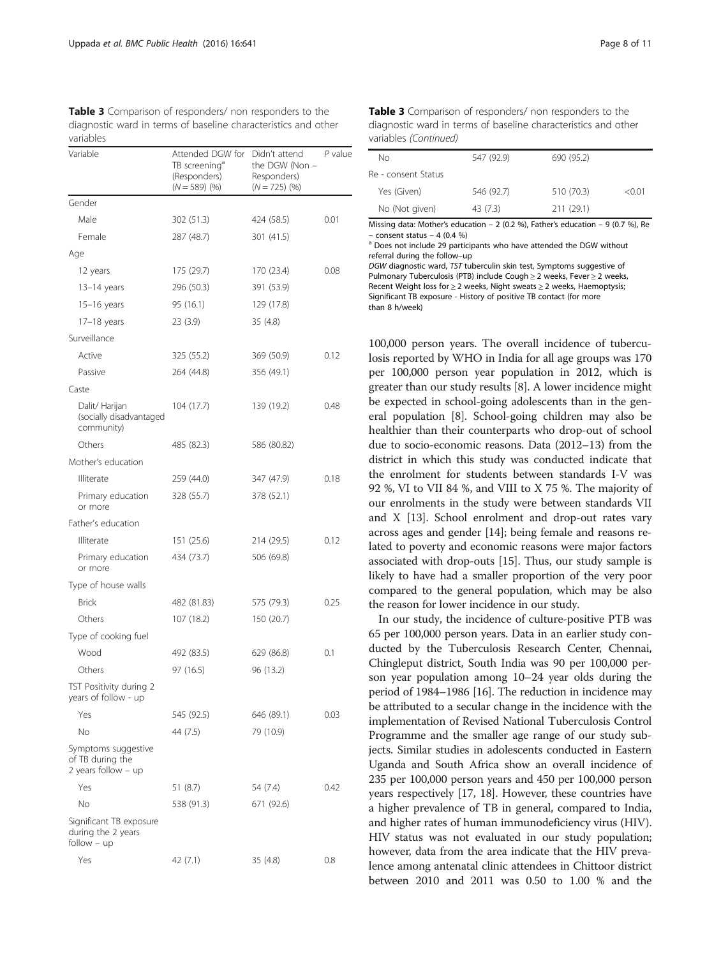<span id="page-7-0"></span>

| Table 3 Comparison of responders/ non responders to the        |  |
|----------------------------------------------------------------|--|
| diagnostic ward in terms of baseline characteristics and other |  |
| variables                                                      |  |

| Variable                                                       | Attended DGW for<br>TB screening <sup>a</sup><br>(Responders)<br>$(N = 589)$ (%) | Didn't attend<br>the DGW (Non -<br>Responders)<br>$(N = 725)$ (%) | $P$ value |
|----------------------------------------------------------------|----------------------------------------------------------------------------------|-------------------------------------------------------------------|-----------|
| Gender                                                         |                                                                                  |                                                                   |           |
| Male                                                           | 302 (51.3)                                                                       | 424 (58.5)                                                        | 0.01      |
| Female                                                         | 287 (48.7)                                                                       | 301 (41.5)                                                        |           |
| Age                                                            |                                                                                  |                                                                   |           |
| 12 years                                                       | 175 (29.7)                                                                       | 170 (23.4)                                                        | 0.08      |
| $13-14$ years                                                  | 296 (50.3)                                                                       | 391 (53.9)                                                        |           |
| $15-16$ years                                                  | 95 (16.1)                                                                        | 129 (17.8)                                                        |           |
| $17-18$ years                                                  | 23 (3.9)                                                                         | 35(4.8)                                                           |           |
| Surveillance                                                   |                                                                                  |                                                                   |           |
| Active                                                         | 325 (55.2)                                                                       | 369 (50.9)                                                        | 0.12      |
| Passive                                                        | 264 (44.8)                                                                       | 356 (49.1)                                                        |           |
| Caste                                                          |                                                                                  |                                                                   |           |
| Dalit/ Harijan<br>(socially disadvantaged<br>community)        | 104 (17.7)                                                                       | 139 (19.2)                                                        | 0.48      |
| Others                                                         | 485 (82.3)                                                                       | 586 (80.82)                                                       |           |
| Mother's education                                             |                                                                                  |                                                                   |           |
| Illiterate                                                     | 259 (44.0)                                                                       | 347 (47.9)                                                        | 0.18      |
| Primary education<br>or more                                   | 328 (55.7)                                                                       | 378 (52.1)                                                        |           |
| Father's education                                             |                                                                                  |                                                                   |           |
| Illiterate                                                     | 151 (25.6)                                                                       | 214 (29.5)                                                        | 0.12      |
| Primary education<br>or more                                   | 434 (73.7)                                                                       | 506 (69.8)                                                        |           |
| Type of house walls                                            |                                                                                  |                                                                   |           |
| <b>Brick</b>                                                   | 482 (81.83)                                                                      | 575 (79.3)                                                        | 0.25      |
| Others                                                         | 107 (18.2)                                                                       | 150 (20.7)                                                        |           |
| Type of cooking fuel                                           |                                                                                  |                                                                   |           |
| Wood                                                           | 492 (83.5)                                                                       | 629 (86.8)                                                        | 0.1       |
| Others                                                         | 97 (16.5)                                                                        | 96 (13.2)                                                         |           |
| TST Positivity during 2<br>years of follow - up                |                                                                                  |                                                                   |           |
| Yes                                                            | 545 (92.5)                                                                       | 646 (89.1)                                                        | 0.03      |
| Νo                                                             | 44 (7.5)                                                                         | 79 (10.9)                                                         |           |
| Symptoms suggestive<br>of TB during the<br>2 years follow - up |                                                                                  |                                                                   |           |
| Yes                                                            | 51 (8.7)                                                                         | 54 (7.4)                                                          | 0.42      |
| Νo                                                             | 538 (91.3)                                                                       | 671 (92.6)                                                        |           |
| Significant TB exposure<br>during the 2 years<br>$follow - up$ |                                                                                  |                                                                   |           |
| Yes                                                            | 42 (7.1)                                                                         | 35 (4.8)                                                          | 0.8       |

Table 3 Comparison of responders/ non responders to the diagnostic ward in terms of baseline characteristics and other variables (Continued)

| Nο                  | 547 (92.9) | 690 (95.2) |        |
|---------------------|------------|------------|--------|
| Re - consent Status |            |            |        |
| Yes (Given)         | 546 (92.7) | 510 (70.3) | < 0.01 |
| No (Not given)      | 43(7.3)    | 211 (29.1) |        |

Missing data: Mother's education – 2 (0.2 %), Father's education – 9 (0.7 %), Re<br>- consent status – 4 (0.4 %)

<sup>a</sup> Does not include 29 participants who have attended the DGW without referral during the follow–up

DGW diagnostic ward, TST tuberculin skin test, Symptoms suggestive of Pulmonary Tuberculosis (PTB) include Cough ≥ 2 weeks, Fever ≥ 2 weeks, Recent Weight loss for ≥ 2 weeks, Night sweats ≥ 2 weeks, Haemoptysis; Significant TB exposure - History of positive TB contact (for more than 8 h/week)

100,000 person years. The overall incidence of tuberculosis reported by WHO in India for all age groups was 170 per 100,000 person year population in 2012, which is greater than our study results [[8\]](#page-10-0). A lower incidence might be expected in school-going adolescents than in the general population [[8\]](#page-10-0). School-going children may also be healthier than their counterparts who drop-out of school due to socio-economic reasons. Data (2012–13) from the district in which this study was conducted indicate that the enrolment for students between standards I-V was 92 %, VI to VII 84 %, and VIII to X 75 %. The majority of our enrolments in the study were between standards VII and X [\[13\]](#page-10-0). School enrolment and drop-out rates vary across ages and gender [[14](#page-10-0)]; being female and reasons related to poverty and economic reasons were major factors associated with drop-outs [\[15\]](#page-10-0). Thus, our study sample is likely to have had a smaller proportion of the very poor compared to the general population, which may be also the reason for lower incidence in our study.

In our study, the incidence of culture-positive PTB was 65 per 100,000 person years. Data in an earlier study conducted by the Tuberculosis Research Center, Chennai, Chingleput district, South India was 90 per 100,000 person year population among 10–24 year olds during the period of 1984–1986 [[16](#page-10-0)]. The reduction in incidence may be attributed to a secular change in the incidence with the implementation of Revised National Tuberculosis Control Programme and the smaller age range of our study subjects. Similar studies in adolescents conducted in Eastern Uganda and South Africa show an overall incidence of 235 per 100,000 person years and 450 per 100,000 person years respectively [\[17](#page-10-0), [18](#page-10-0)]. However, these countries have a higher prevalence of TB in general, compared to India, and higher rates of human immunodeficiency virus (HIV). HIV status was not evaluated in our study population; however, data from the area indicate that the HIV prevalence among antenatal clinic attendees in Chittoor district between 2010 and 2011 was 0.50 to 1.00 % and the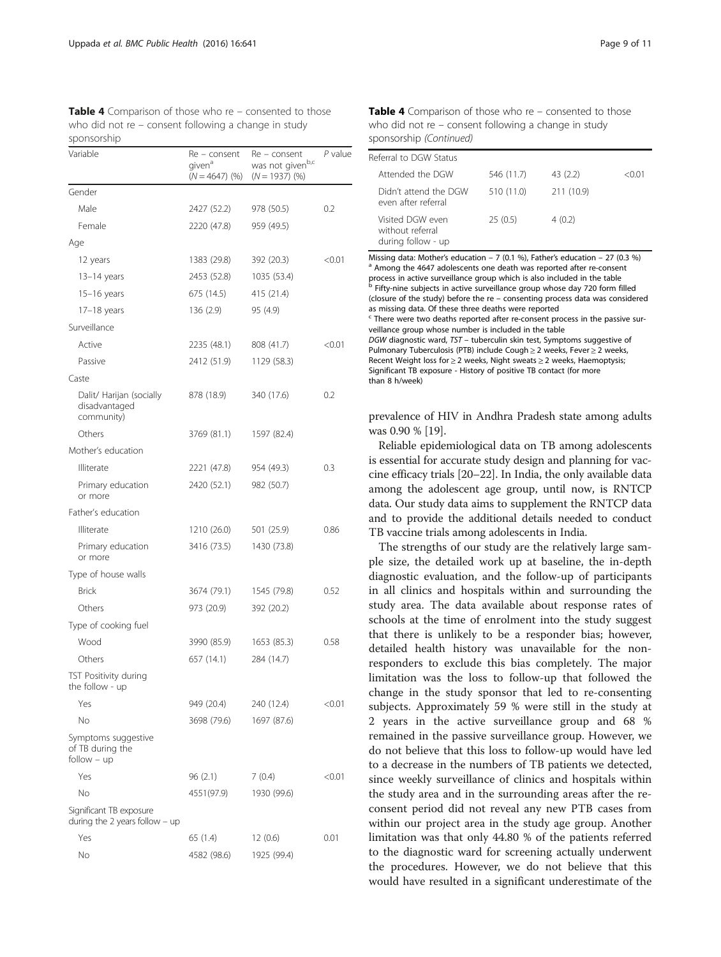<span id="page-8-0"></span>Table 4 Comparison of those who re – consented to those who did not re – consent following a change in study sponsorship

| Variable                                                    | Re – consent<br>given <sup>a</sup><br>$(N = 4647)$ (%) | Re – consent<br>was not givenb,c<br>$(N = 1937)$ (%) | P value       |
|-------------------------------------------------------------|--------------------------------------------------------|------------------------------------------------------|---------------|
| Gender                                                      |                                                        |                                                      |               |
| Male                                                        | 2427 (52.2)                                            | 978 (50.5)                                           | 0.2           |
| Female                                                      | 2220 (47.8)                                            | 959 (49.5)                                           |               |
| Age                                                         |                                                        |                                                      |               |
| 12 years                                                    | 1383 (29.8)                                            | 392 (20.3)                                           | < 0.01        |
| $13-14$ years                                               | 2453 (52.8)                                            | 1035 (53.4)                                          |               |
| $15-16$ years                                               | 675 (14.5)                                             | 415 (21.4)                                           |               |
| $17-18$ years                                               | 136(2.9)                                               | 95 (4.9)                                             |               |
| Surveillance                                                |                                                        |                                                      |               |
| Active                                                      | 2235 (48.1)                                            | 808 (41.7)                                           | < 0.01        |
| Passive                                                     | 2412 (51.9)                                            | 1129 (58.3)                                          |               |
| Caste                                                       |                                                        |                                                      |               |
| Dalit/ Harijan (socially<br>disadvantaged<br>community)     | 878 (18.9)                                             | 340 (17.6)                                           | 0.2           |
| Others                                                      | 3769 (81.1)                                            | 1597 (82.4)                                          |               |
| Mother's education                                          |                                                        |                                                      |               |
| Illiterate                                                  | 2221 (47.8)                                            | 954 (49.3)                                           | 0.3           |
| Primary education<br>or more                                | 2420 (52.1)                                            | 982 (50.7)                                           |               |
| Father's education                                          |                                                        |                                                      |               |
| Illiterate                                                  | 1210 (26.0)                                            | 501 (25.9)                                           | 0.86          |
| Primary education<br>or more                                | 3416 (73.5)                                            | 1430 (73.8)                                          |               |
| Type of house walls                                         |                                                        |                                                      |               |
| <b>Brick</b>                                                | 3674 (79.1)                                            | 1545 (79.8)                                          | 0.52          |
| Others                                                      | 973 (20.9)                                             | 392 (20.2)                                           |               |
| Type of cooking fuel                                        |                                                        |                                                      |               |
| Wood                                                        | 3990 (85.9)                                            | 1653 (85.3)                                          | 0.58          |
| Others                                                      | 657 (14.1)                                             | 284 (14.7)                                           |               |
| <b>TST Positivity during</b><br>the follow - up             |                                                        |                                                      |               |
| Yes                                                         | 949 (20.4)                                             | 240 (12.4)                                           | <0.01         |
| No                                                          | 3698 (79.6)                                            | 1697 (87.6)                                          |               |
| Symptoms suggestive<br>of TB during the<br>$follow - up$    |                                                        |                                                      |               |
| Yes                                                         | 96 (2.1)                                               | 7(0.4)                                               | $<$ 0.01 $\,$ |
| No                                                          | 4551(97.9)                                             | 1930 (99.6)                                          |               |
| Significant TB exposure<br>during the 2 years follow $-$ up |                                                        |                                                      |               |
| Yes                                                         | 65 (1.4)                                               | 12(0.6)                                              | 0.01          |
| No                                                          | 4582 (98.6)                                            | 1925 (99.4)                                          |               |

Table 4 Comparison of those who re – consented to those who did not re – consent following a change in study sponsorship (Continued)

| Referral to DGW Status                                     |            |            |       |
|------------------------------------------------------------|------------|------------|-------|
| Attended the DGW                                           | 546 (11.7) | 43(2.2)    | <0.01 |
| Didn't attend the DGW<br>even after referral               | 510 (11.0) | 211 (10.9) |       |
| Visited DGW even<br>without referral<br>during follow - up | 25(0.5)    | 4(0.2)     |       |

Missing data: Mother's education – 7 (0.1 %), Father's education – 27 (0.3 %) <br><sup>a</sup> Among the 4647 adolescents one death was reported after re-consent process in active surveillance group which is also included in the table<br><sup>b</sup> Fifty-nine subjects in active surveillance group whose day 720 form filled (closure of the study) before the re – consenting process data was considered as missing data. Of these three deaths were reported  $c$  There were two deaths reported after re-consent process in the passive surveillance group whose number is included in the table DGW diagnostic ward, TST – tuberculin skin test, Symptoms suggestive of Pulmonary Tuberculosis (PTB) include Cough ≥ 2 weeks, Fever ≥ 2 weeks, Recent Weight loss for ≥ 2 weeks, Night sweats ≥ 2 weeks, Haemoptysis; Significant TB exposure - History of positive TB contact (for more than 8 h/week)

prevalence of HIV in Andhra Pradesh state among adults was 0.90 % [[19\]](#page-10-0).

Reliable epidemiological data on TB among adolescents is essential for accurate study design and planning for vaccine efficacy trials [\[20](#page-10-0)–[22](#page-10-0)]. In India, the only available data among the adolescent age group, until now, is RNTCP data. Our study data aims to supplement the RNTCP data and to provide the additional details needed to conduct TB vaccine trials among adolescents in India.

The strengths of our study are the relatively large sample size, the detailed work up at baseline, the in-depth diagnostic evaluation, and the follow-up of participants in all clinics and hospitals within and surrounding the study area. The data available about response rates of schools at the time of enrolment into the study suggest that there is unlikely to be a responder bias; however, detailed health history was unavailable for the nonresponders to exclude this bias completely. The major limitation was the loss to follow-up that followed the change in the study sponsor that led to re-consenting subjects. Approximately 59 % were still in the study at 2 years in the active surveillance group and 68 % remained in the passive surveillance group. However, we do not believe that this loss to follow-up would have led to a decrease in the numbers of TB patients we detected, since weekly surveillance of clinics and hospitals within the study area and in the surrounding areas after the reconsent period did not reveal any new PTB cases from within our project area in the study age group. Another limitation was that only 44.80 % of the patients referred to the diagnostic ward for screening actually underwent the procedures. However, we do not believe that this would have resulted in a significant underestimate of the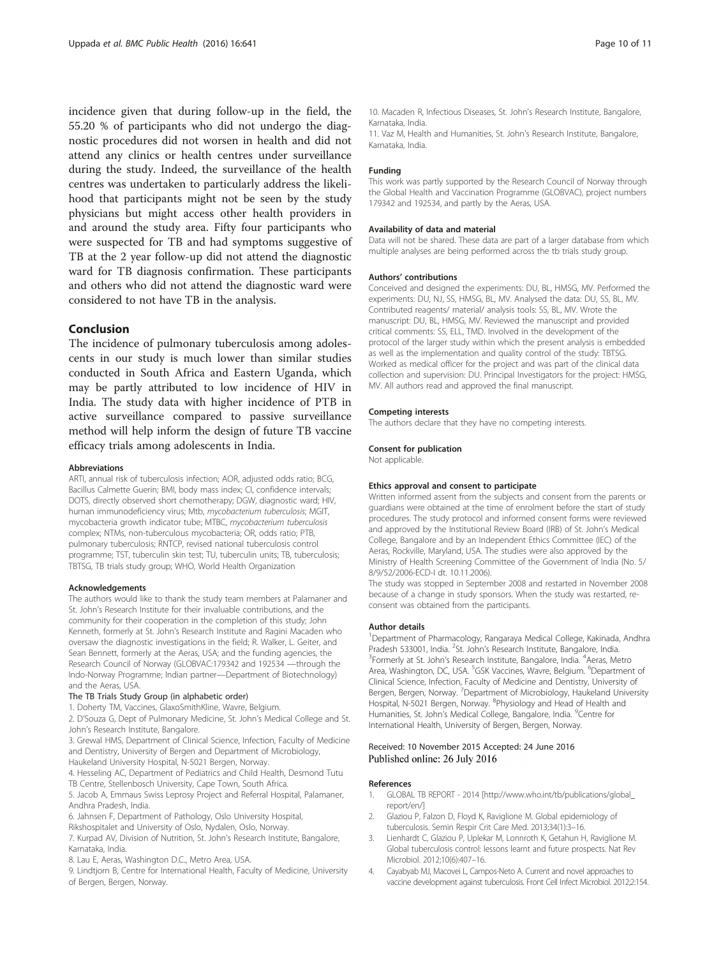<span id="page-9-0"></span>incidence given that during follow-up in the field, the 55.20 % of participants who did not undergo the diagnostic procedures did not worsen in health and did not attend any clinics or health centres under surveillance during the study. Indeed, the surveillance of the health centres was undertaken to particularly address the likelihood that participants might not be seen by the study physicians but might access other health providers in and around the study area. Fifty four participants who were suspected for TB and had symptoms suggestive of TB at the 2 year follow-up did not attend the diagnostic ward for TB diagnosis confirmation. These participants and others who did not attend the diagnostic ward were considered to not have TB in the analysis.

# Conclusion

The incidence of pulmonary tuberculosis among adolescents in our study is much lower than similar studies conducted in South Africa and Eastern Uganda, which may be partly attributed to low incidence of HIV in India. The study data with higher incidence of PTB in active surveillance compared to passive surveillance method will help inform the design of future TB vaccine efficacy trials among adolescents in India.

#### Abbreviations

ARTI, annual risk of tuberculosis infection; AOR, adjusted odds ratio; BCG, Bacillus Calmette Guerin; BMI, body mass index; CI, confidence intervals; DOTS, directly observed short chemotherapy; DGW, diagnostic ward; HIV, human immunodeficiency virus; Mtb, *mycobacterium tuberculosis*; MGIT, mycobacteria growth indicator tube; MTBC, mycobacterium tuberculosis complex; NTMs, non-tuberculous mycobacteria; OR, odds ratio; PTB, pulmonary tuberculosis; RNTCP, revised national tuberculosis control programme; TST, tuberculin skin test; TU, tuberculin units; TB, tuberculosis; TBTSG, TB trials study group; WHO, World Health Organization

#### Acknowledgements

The authors would like to thank the study team members at Palamaner and St. John's Research Institute for their invaluable contributions, and the community for their cooperation in the completion of this study; John Kenneth, formerly at St. John's Research Institute and Ragini Macaden who oversaw the diagnostic investigations in the field; R. Walker, L. Geiter, and Sean Bennett, formerly at the Aeras, USA; and the funding agencies, the Research Council of Norway (GLOBVAC:179342 and 192534 —through the Indo-Norway Programme; Indian partner—Department of Biotechnology) and the Aeras, USA.

#### The TB Trials Study Group (in alphabetic order)

1. Doherty TM, Vaccines, GlaxoSmithKline, Wavre, Belgium.

2. D'Souza G, Dept of Pulmonary Medicine, St. John's Medical College and St. John's Research Institute, Bangalore.

3. Grewal HMS, Department of Clinical Science, Infection, Faculty of Medicine and Dentistry, University of Bergen and Department of Microbiology, Haukeland University Hospital, N-5021 Bergen, Norway.

4. Hesseling AC, Department of Pediatrics and Child Health, Desmond Tutu TB Centre, Stellenbosch University, Cape Town, South Africa.

5. Jacob A, Emmaus Swiss Leprosy Project and Referral Hospital, Palamaner, Andhra Pradesh, India.

6. Jahnsen F, Department of Pathology, Oslo University Hospital,

Rikshospitalet and University of Oslo, Nydalen, Oslo, Norway.

7. Kurpad AV, Division of Nutrition, St. John's Research Institute, Bangalore, Karnataka, India.

8. Lau E, Aeras, Washington D.C., Metro Area, USA.

9. Lindtjorn B, Centre for International Health, Faculty of Medicine, University of Bergen, Bergen, Norway.

10. Macaden R, Infectious Diseases, St. John's Research Institute, Bangalore, Karnataka, India.

11. Vaz M, Health and Humanities, St. John's Research Institute, Bangalore, Karnataka, India.

#### Funding

This work was partly supported by the Research Council of Norway through the Global Health and Vaccination Programme (GLOBVAC), project numbers 179342 and 192534, and partly by the Aeras, USA.

## Availability of data and material

Data will not be shared. These data are part of a larger database from which multiple analyses are being performed across the tb trials study group.

#### Authors' contributions

Conceived and designed the experiments: DU, BL, HMSG, MV. Performed the experiments: DU, NJ, SS, HMSG, BL, MV. Analysed the data: DU, SS, BL, MV. Contributed reagents/ material/ analysis tools: SS, BL, MV. Wrote the manuscript: DU, BL, HMSG, MV. Reviewed the manuscript and provided critical comments: SS, ELL, TMD. Involved in the development of the protocol of the larger study within which the present analysis is embedded as well as the implementation and quality control of the study: TBTSG. Worked as medical officer for the project and was part of the clinical data collection and supervision: DU. Principal Investigators for the project: HMSG, MV. All authors read and approved the final manuscript.

#### Competing interests

The authors declare that they have no competing interests.

# Consent for publication

Not applicable.

#### Ethics approval and consent to participate

Written informed assent from the subjects and consent from the parents or guardians were obtained at the time of enrolment before the start of study procedures. The study protocol and informed consent forms were reviewed and approved by the Institutional Review Board (IRB) of St. John's Medical College, Bangalore and by an Independent Ethics Committee (IEC) of the Aeras, Rockville, Maryland, USA. The studies were also approved by the Ministry of Health Screening Committee of the Government of India (No. 5/ 8/9/52/2006-ECD-I dt. 10.11.2006).

The study was stopped in September 2008 and restarted in November 2008 because of a change in study sponsors. When the study was restarted, reconsent was obtained from the participants.

# Author details

<sup>1</sup>Department of Pharmacology, Rangaraya Medical College, Kakinada, Andhra Pradesh 533001, India. <sup>2</sup>St. John's Research Institute, Bangalore, India.<br><sup>3</sup> Formerly at St. John's Research Institute, Bangalore, India. <sup>4</sup> Aeras, M Formerly at St. John's Research Institute, Bangalore, India. <sup>4</sup>Aeras, Metro Area, Washington, DC, USA. <sup>5</sup>GSK Vaccines, Wavre, Belgium. <sup>6</sup>Department of Clinical Science, Infection, Faculty of Medicine and Dentistry, University of Bergen, Bergen, Norway. <sup>7</sup> Department of Microbiology, Haukeland University Hospital, N-5021 Bergen, Norway. <sup>8</sup>Physiology and Head of Health and Humanities, St. John's Medical College, Bangalore, India. <sup>9</sup>Centre for International Health, University of Bergen, Bergen, Norway.

# Received: 10 November 2015 Accepted: 24 June 2016 Published online: 26 July 2016

#### References

- 1. GLOBAL TB REPORT 2014 [\[http://www.who.int/tb/publications/global\\_](http://www.who.int/tb/publications/global_report/en/) [report/en/](http://www.who.int/tb/publications/global_report/en/)]
- 2. Glaziou P, Falzon D, Floyd K, Raviglione M. Global epidemiology of tuberculosis. Semin Respir Crit Care Med. 2013;34(1):3–16.
- Lienhardt C, Glaziou P, Uplekar M, Lonnroth K, Getahun H, Raviglione M. Global tuberculosis control: lessons learnt and future prospects. Nat Rev Microbiol. 2012;10(6):407–16.
- 4. Cayabyab MJ, Macovei L, Campos-Neto A. Current and novel approaches to vaccine development against tuberculosis. Front Cell Infect Microbiol. 2012;2:154.